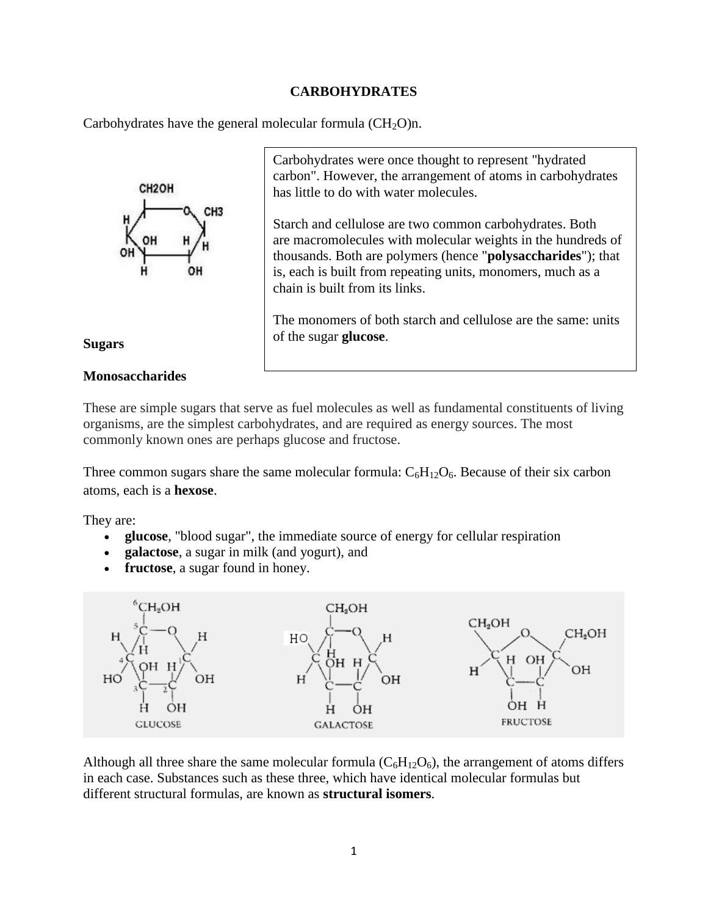### **CARBOHYDRATES**

Carbohydrates have the general molecular formula  $(CH_2O)$ n.



Carbohydrates were once thought to represent "hydrated carbon". However, the arrangement of atoms in carbohydrates has little to do with water molecules.

Starch and cellulose are two common carbohydrates. Both are macromolecules with molecular weights in the hundreds of thousands. Both are polymers (hence "**polysaccharides**"); that is, each is built from repeating units, monomers, much as a chain is built from its links.

The monomers of both starch and cellulose are the same: units of the sugar **glucose**.

#### **Sugars**

#### **Monosaccharides**

These are simple sugars that serve as fuel molecules as well as fundamental constituents of living organisms, are the simplest carbohydrates, and are required as energy sources. The most commonly known ones are perhaps glucose and fructose.

Three common sugars share the same molecular formula:  $C_6H_{12}O_6$ . Because of their six carbon atoms, each is a **hexose**.

They are:

- **glucose**, "blood sugar", the immediate source of energy for cellular respiration
- **galactose**, a sugar in milk (and yogurt), and
- **fructose**, a sugar found in honey.



Although all three share the same molecular formula  $(C_6H_{12}O_6)$ , the arrangement of atoms differs in each case. Substances such as these three, which have identical molecular formulas but different structural formulas, are known as **structural isomers**.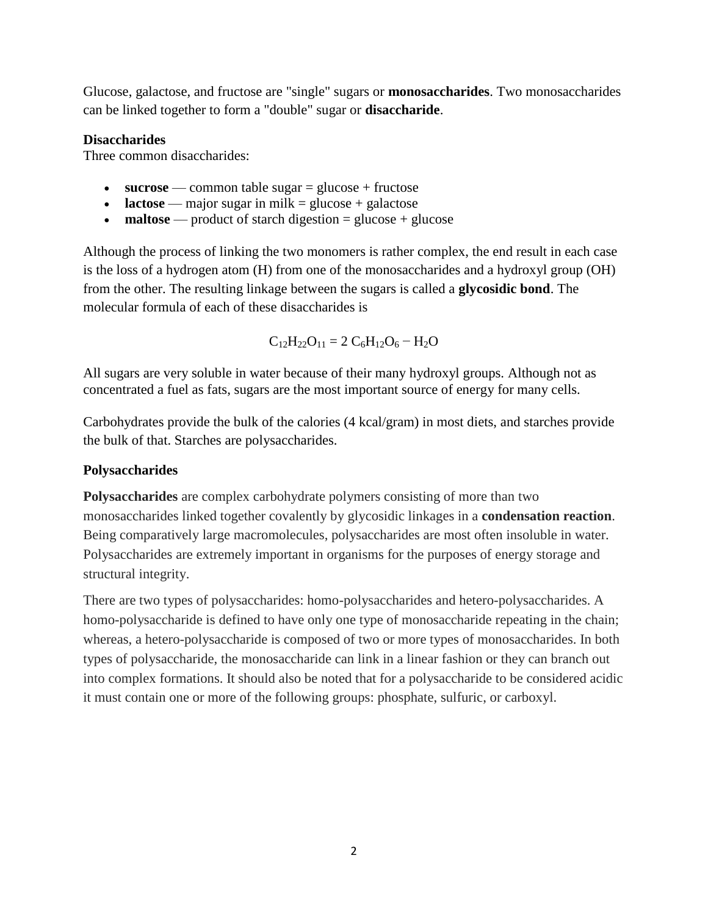Glucose, galactose, and fructose are "single" sugars or **monosaccharides**. Two monosaccharides can be linked together to form a "double" sugar or **disaccharide**.

## **Disaccharides**

Three common disaccharides:

- **sucrose** common table sugar = glucose + fructose
- **lactose** major sugar in milk = glucose + galactose
- **maltose** product of starch digestion = glucose + glucose

Although the process of linking the two monomers is rather complex, the end result in each case is the loss of a hydrogen atom (H) from one of the monosaccharides and a hydroxyl group (OH) from the other. The resulting linkage between the sugars is called a **glycosidic bond**. The molecular formula of each of these disaccharides is

$$
C_{12}H_{22}O_{11} = 2 C_6H_{12}O_6 - H_2O
$$

All sugars are very soluble in water because of their many hydroxyl groups. Although not as concentrated a fuel as fats, sugars are the most important source of energy for many cells.

Carbohydrates provide the bulk of the calories (4 kcal/gram) in most diets, and starches provide the bulk of that. Starches are polysaccharides.

# **Polysaccharides**

**Polysaccharides** are complex carbohydrate polymers consisting of more than two monosaccharides linked together covalently by glycosidic linkages in a **condensation reaction**. Being comparatively large macromolecules, polysaccharides are most often insoluble in water. Polysaccharides are extremely important in organisms for the purposes of energy storage and structural integrity.

There are two types of polysaccharides: homo-polysaccharides and hetero-polysaccharides. A homo-polysaccharide is defined to have only one type of monosaccharide repeating in the chain; whereas, a hetero-polysaccharide is composed of two or more types of monosaccharides. In both types of polysaccharide, the monosaccharide can link in a linear fashion or they can branch out into complex formations. It should also be noted that for a polysaccharide to be considered acidic it must contain one or more of the following groups: phosphate, sulfuric, or carboxyl.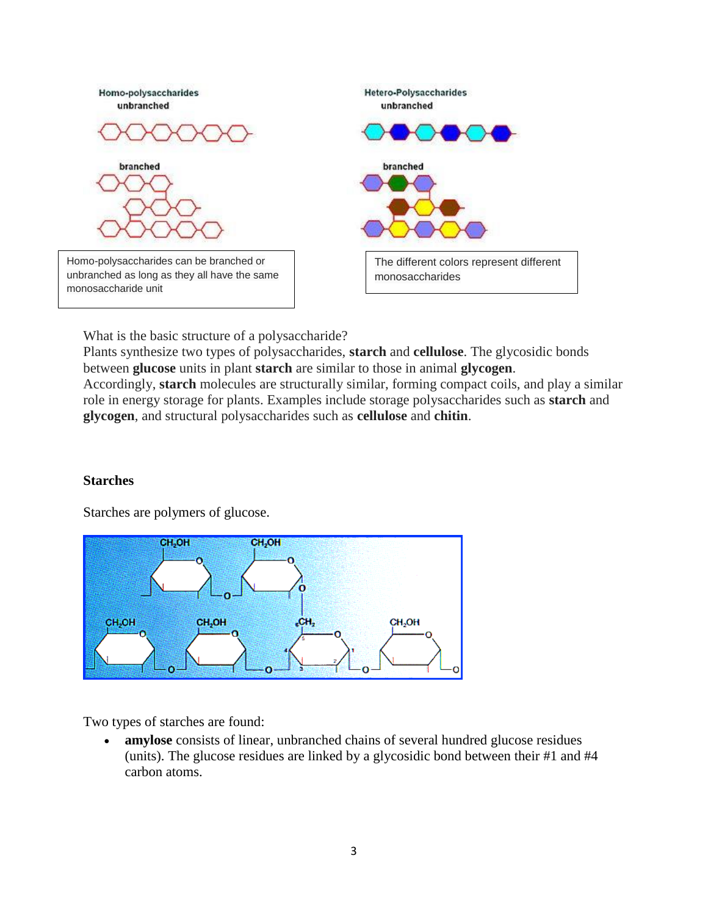

What is the basic structure of a polysaccharide?

Plants synthesize two types of polysaccharides, **starch** and **cellulose**. The glycosidic bonds between **glucose** units in plant **starch** are similar to those in animal **glycogen**. Accordingly, **starch** molecules are structurally similar, forming compact coils, and play a similar role in energy storage for plants. Examples include storage polysaccharides such as **starch** and **glycogen**, and structural polysaccharides such as **cellulose** and **chitin**.

### **Starches**

Starches are polymers of glucose.



Two types of starches are found:

 **amylose** consists of linear, unbranched chains of several hundred glucose residues (units). The glucose residues are linked by a glycosidic bond between their #1 and #4 carbon atoms.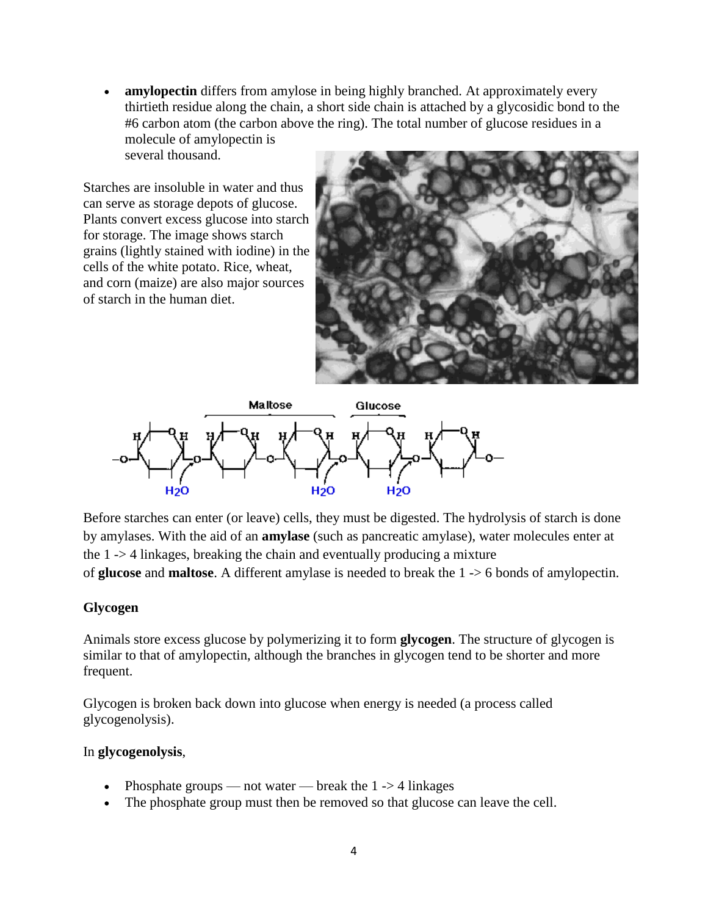**amylopectin** differs from amylose in being highly branched. At approximately every thirtieth residue along the chain, a short side chain is attached by a glycosidic bond to the #6 carbon atom (the carbon above the ring). The total number of glucose residues in a molecule of amylopectin is

several thousand.

Starches are insoluble in water and thus can serve as storage depots of glucose. Plants convert excess glucose into starch for storage. The image shows starch grains (lightly stained with iodine) in the cells of the white potato. Rice, wheat, and corn (maize) are also major sources of starch in the human diet.





Before starches can enter (or leave) cells, they must be digested. The hydrolysis of starch is done by amylases. With the aid of an **amylase** (such as pancreatic amylase), water molecules enter at the 1 -> 4 linkages, breaking the chain and eventually producing a mixture of **glucose** and **maltose**. A different amylase is needed to break the 1 -> 6 bonds of amylopectin.

# **Glycogen**

Animals store excess glucose by polymerizing it to form **glycogen**. The structure of glycogen is similar to that of amylopectin, although the branches in glycogen tend to be shorter and more frequent.

Glycogen is broken back down into glucose when energy is needed (a process called glycogenolysis).

### In **glycogenolysis**,

- Phosphate groups not water break the  $1 \rightarrow 4$  linkages
- The phosphate group must then be removed so that glucose can leave the cell.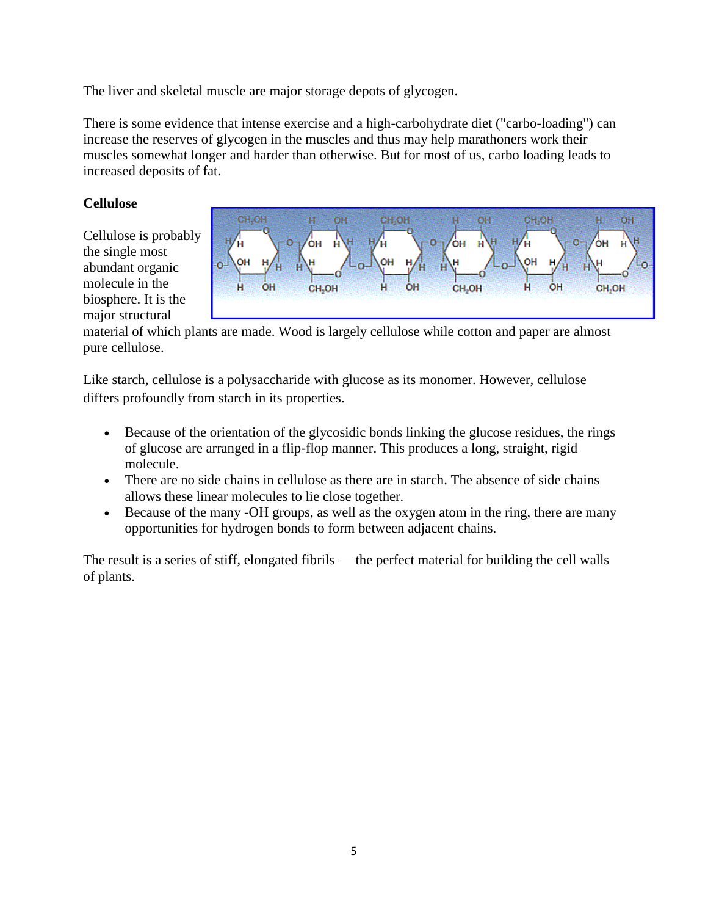The liver and skeletal muscle are major storage depots of glycogen.

There is some evidence that intense exercise and a high-carbohydrate diet ("carbo-loading") can increase the reserves of glycogen in the muscles and thus may help marathoners work their muscles somewhat longer and harder than otherwise. But for most of us, carbo loading leads to increased deposits of fat.

# **Cellulose**

Cellulose is probably the single most abundant organic molecule in the biosphere. It is the major structural



material of which plants are made. Wood is largely cellulose while cotton and paper are almost pure cellulose.

Like starch, cellulose is a polysaccharide with glucose as its monomer. However, cellulose differs profoundly from starch in its properties.

- Because of the orientation of the glycosidic bonds linking the glucose residues, the rings of glucose are arranged in a flip-flop manner. This produces a long, straight, rigid molecule.
- There are no side chains in cellulose as there are in starch. The absence of side chains allows these linear molecules to lie close together.
- Because of the many -OH groups, as well as the oxygen atom in the ring, there are many opportunities for hydrogen bonds to form between adjacent chains.

The result is a series of stiff, elongated fibrils — the perfect material for building the cell walls of plants.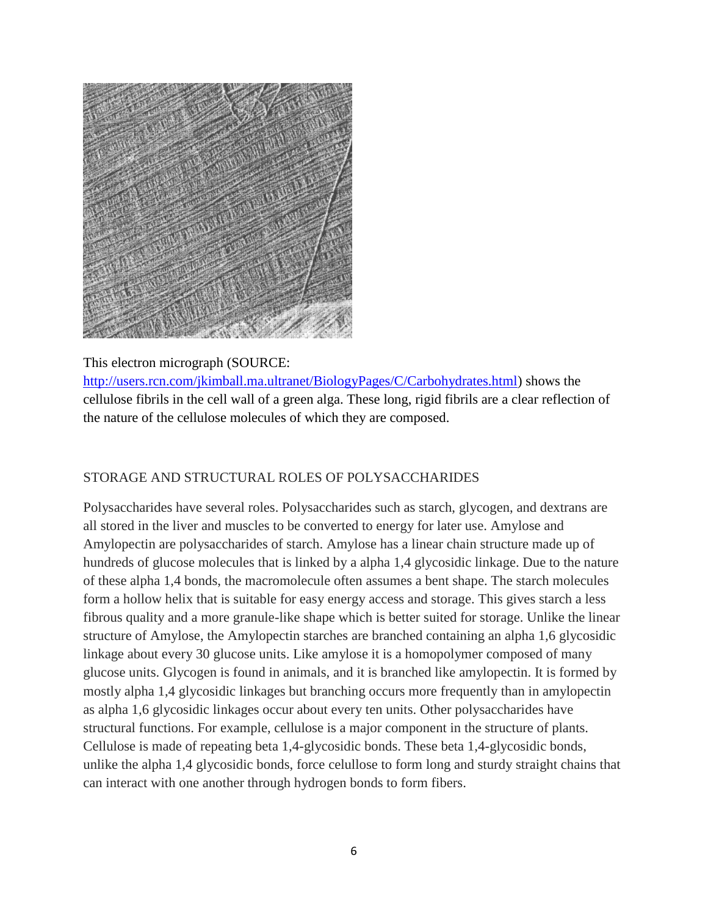

## This electron micrograph (SOURCE:

[http://users.rcn.com/jkimball.ma.ultranet/BiologyPages/C/Carbohydrates.html\)](http://users.rcn.com/jkimball.ma.ultranet/BiologyPages/C/Carbohydrates.html) shows the cellulose fibrils in the cell wall of a green alga. These long, rigid fibrils are a clear reflection of the nature of the cellulose molecules of which they are composed.

# STORAGE AND STRUCTURAL ROLES OF POLYSACCHARIDES

Polysaccharides have several roles. Polysaccharides such as starch, glycogen, and dextrans are all stored in the liver and muscles to be converted to energy for later use. Amylose and Amylopectin are polysaccharides of starch. Amylose has a linear chain structure made up of hundreds of glucose molecules that is linked by a alpha 1,4 glycosidic linkage. Due to the nature of these alpha 1,4 bonds, the macromolecule often assumes a bent shape. The starch molecules form a hollow helix that is suitable for easy energy access and storage. This gives starch a less fibrous quality and a more granule-like shape which is better suited for storage. Unlike the linear structure of Amylose, the Amylopectin starches are branched containing an alpha 1,6 glycosidic linkage about every 30 glucose units. Like amylose it is a homopolymer composed of many glucose units. Glycogen is found in animals, and it is branched like amylopectin. It is formed by mostly alpha 1,4 glycosidic linkages but branching occurs more frequently than in amylopectin as alpha 1,6 glycosidic linkages occur about every ten units. Other polysaccharides have structural functions. For example, cellulose is a major component in the structure of plants. Cellulose is made of repeating beta 1,4-glycosidic bonds. These beta 1,4-glycosidic bonds, unlike the alpha 1,4 glycosidic bonds, force celullose to form long and sturdy straight chains that can interact with one another through hydrogen bonds to form fibers.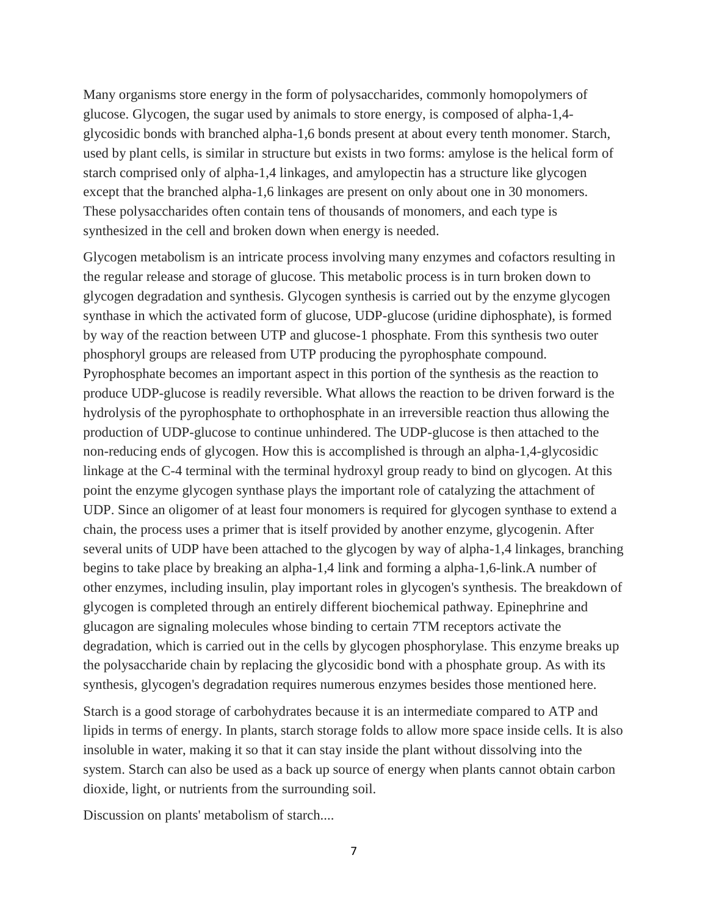Many organisms store energy in the form of polysaccharides, commonly homopolymers of glucose. Glycogen, the sugar used by animals to store energy, is composed of alpha-1,4 glycosidic bonds with branched alpha-1,6 bonds present at about every tenth monomer. Starch, used by plant cells, is similar in structure but exists in two forms: amylose is the helical form of starch comprised only of alpha-1,4 linkages, and amylopectin has a structure like glycogen except that the branched alpha-1,6 linkages are present on only about one in 30 monomers. These polysaccharides often contain tens of thousands of monomers, and each type is synthesized in the cell and broken down when energy is needed.

Glycogen metabolism is an intricate process involving many enzymes and cofactors resulting in the regular release and storage of glucose. This metabolic process is in turn broken down to glycogen degradation and synthesis. Glycogen synthesis is carried out by the enzyme glycogen synthase in which the activated form of glucose, UDP-glucose (uridine diphosphate), is formed by way of the reaction between UTP and glucose-1 phosphate. From this synthesis two outer phosphoryl groups are released from UTP producing the pyrophosphate compound. Pyrophosphate becomes an important aspect in this portion of the synthesis as the reaction to produce UDP-glucose is readily reversible. What allows the reaction to be driven forward is the hydrolysis of the pyrophosphate to orthophosphate in an irreversible reaction thus allowing the production of UDP-glucose to continue unhindered. The UDP-glucose is then attached to the non-reducing ends of glycogen. How this is accomplished is through an alpha-1,4-glycosidic linkage at the C-4 terminal with the terminal hydroxyl group ready to bind on glycogen. At this point the enzyme glycogen synthase plays the important role of catalyzing the attachment of UDP. Since an oligomer of at least four monomers is required for glycogen synthase to extend a chain, the process uses a primer that is itself provided by another enzyme, glycogenin. After several units of UDP have been attached to the glycogen by way of alpha-1,4 linkages, branching begins to take place by breaking an alpha-1,4 link and forming a alpha-1,6-link.A number of other enzymes, including insulin, play important roles in glycogen's synthesis. The breakdown of glycogen is completed through an entirely different biochemical pathway. Epinephrine and glucagon are signaling molecules whose binding to certain 7TM receptors activate the degradation, which is carried out in the cells by glycogen phosphorylase. This enzyme breaks up the polysaccharide chain by replacing the glycosidic bond with a phosphate group. As with its synthesis, glycogen's degradation requires numerous enzymes besides those mentioned here.

Starch is a good storage of carbohydrates because it is an intermediate compared to ATP and lipids in terms of energy. In plants, starch storage folds to allow more space inside cells. It is also insoluble in water, making it so that it can stay inside the plant without dissolving into the system. Starch can also be used as a back up source of energy when plants cannot obtain carbon dioxide, light, or nutrients from the surrounding soil.

Discussion on plants' metabolism of starch....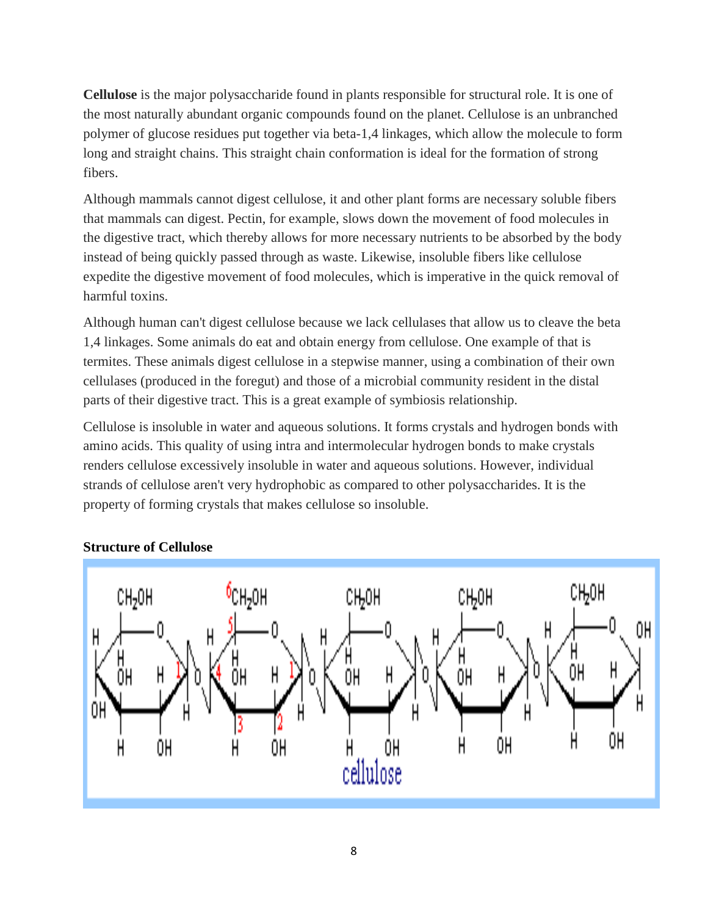**Cellulose** is the major polysaccharide found in plants responsible for structural role. It is one of the most naturally abundant organic compounds found on the planet. Cellulose is an unbranched polymer of glucose residues put together via beta-1,4 linkages, which allow the molecule to form long and straight chains. This straight chain conformation is ideal for the formation of strong fibers.

Although mammals cannot digest cellulose, it and other plant forms are necessary soluble fibers that mammals can digest. Pectin, for example, slows down the movement of food molecules in the digestive tract, which thereby allows for more necessary nutrients to be absorbed by the body instead of being quickly passed through as waste. Likewise, insoluble fibers like cellulose expedite the digestive movement of food molecules, which is imperative in the quick removal of harmful toxins.

Although human can't digest cellulose because we lack cellulases that allow us to cleave the beta 1,4 linkages. Some animals do eat and obtain energy from cellulose. One example of that is termites. These animals digest cellulose in a stepwise manner, using a combination of their own cellulases (produced in the foregut) and those of a microbial community resident in the distal parts of their digestive tract. This is a great example of symbiosis relationship.

Cellulose is insoluble in water and aqueous solutions. It forms crystals and hydrogen bonds with amino acids. This quality of using intra and intermolecular hydrogen bonds to make crystals renders cellulose excessively insoluble in water and aqueous solutions. However, individual strands of cellulose aren't very hydrophobic as compared to other polysaccharides. It is the property of forming crystals that makes cellulose so insoluble.



# **Structure of Cellulose**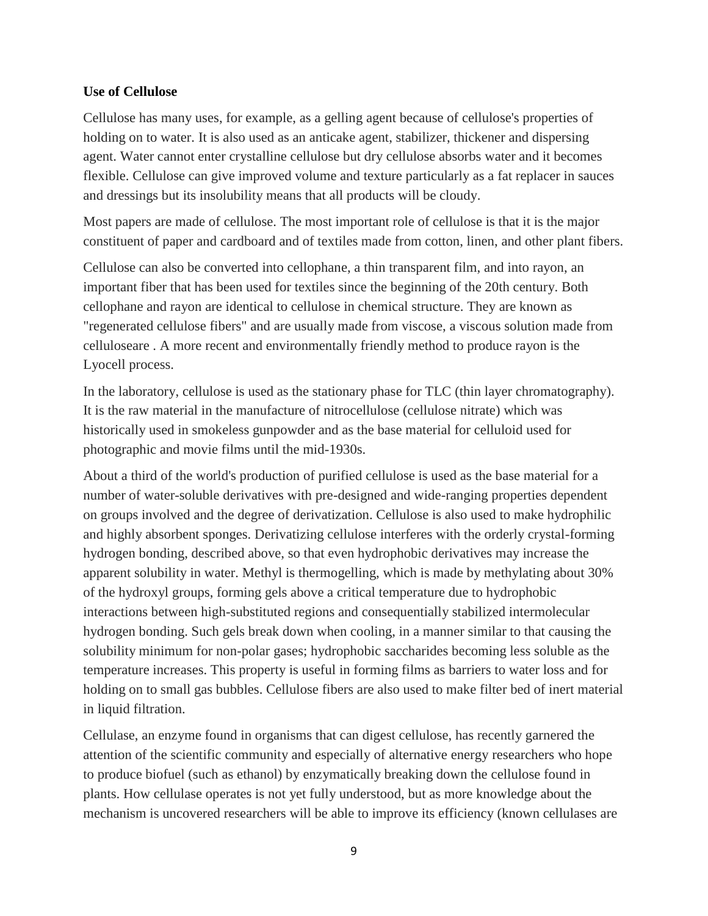### **Use of Cellulose**

Cellulose has many uses, for example, as a gelling agent because of cellulose's properties of holding on to water. It is also used as an anticake agent, stabilizer, thickener and dispersing agent. Water cannot enter crystalline cellulose but dry cellulose absorbs water and it becomes flexible. Cellulose can give improved volume and texture particularly as a fat replacer in sauces and dressings but its insolubility means that all products will be cloudy.

Most papers are made of cellulose. The most important role of cellulose is that it is the major constituent of paper and cardboard and of textiles made from cotton, linen, and other plant fibers.

Cellulose can also be converted into cellophane, a thin transparent film, and into rayon, an important fiber that has been used for textiles since the beginning of the 20th century. Both cellophane and rayon are identical to cellulose in chemical structure. They are known as "regenerated cellulose fibers" and are usually made from viscose, a viscous solution made from celluloseare . A more recent and environmentally friendly method to produce rayon is the Lyocell process.

In the laboratory, cellulose is used as the stationary phase for TLC (thin layer chromatography). It is the raw material in the manufacture of nitrocellulose (cellulose nitrate) which was historically used in smokeless gunpowder and as the base material for celluloid used for photographic and movie films until the mid-1930s.

About a third of the world's production of purified cellulose is used as the base material for a number of water-soluble derivatives with pre-designed and wide-ranging properties dependent on groups involved and the degree of derivatization. Cellulose is also used to make hydrophilic and highly absorbent sponges. Derivatizing cellulose interferes with the orderly crystal-forming hydrogen bonding, described above, so that even hydrophobic derivatives may increase the apparent solubility in water. Methyl is thermogelling, which is made by methylating about 30% of the hydroxyl groups, forming gels above a critical temperature due to hydrophobic interactions between high-substituted regions and consequentially stabilized intermolecular hydrogen bonding. Such gels break down when cooling, in a manner similar to that causing the solubility minimum for non-polar gases; hydrophobic saccharides becoming less soluble as the temperature increases. This property is useful in forming films as barriers to water loss and for holding on to small gas bubbles. Cellulose fibers are also used to make filter bed of inert material in liquid filtration.

Cellulase, an enzyme found in organisms that can digest cellulose, has recently garnered the attention of the scientific community and especially of alternative energy researchers who hope to produce biofuel (such as ethanol) by enzymatically breaking down the cellulose found in plants. How cellulase operates is not yet fully understood, but as more knowledge about the mechanism is uncovered researchers will be able to improve its efficiency (known cellulases are